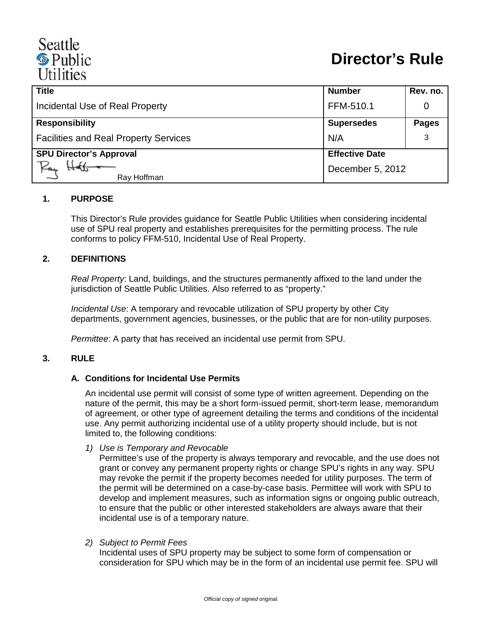# Seattle <sup><sup>®</sup> Public</sup> **Utilities**

| <b>Title</b>                                 | <b>Number</b>         | Rev. no.     |
|----------------------------------------------|-----------------------|--------------|
| Incidental Use of Real Property              | FFM-510.1             |              |
| <b>Responsibility</b>                        | <b>Supersedes</b>     | <b>Pages</b> |
| <b>Facilities and Real Property Services</b> | N/A                   |              |
| <b>SPU Director's Approval</b>               | <b>Effective Date</b> |              |
| Kan<br>Ray Hoffman                           | December 5, 2012      |              |

#### **1. PURPOSE**

This Director's Rule provides guidance for Seattle Public Utilities when considering incidental use of SPU real property and establishes prerequisites for the permitting process. The rule conforms to policy FFM-510, Incidental Use of Real Property.

#### **2. DEFINITIONS**

*Real Property*: Land, buildings, and the structures permanently affixed to the land under the jurisdiction of Seattle Public Utilities. Also referred to as "property."

*Incidental Use*: A temporary and revocable utilization of SPU property by other City departments, government agencies, businesses, or the public that are for non-utility purposes.

*Permittee*: A party that has received an incidental use permit from SPU.

#### **3. RULE**

#### **A. Conditions for Incidental Use Permits**

An incidental use permit will consist of some type of written agreement. Depending on the nature of the permit, this may be a short form-issued permit, short-term lease, memorandum of agreement, or other type of agreement detailing the terms and conditions of the incidental use. Any permit authorizing incidental use of a utility property should include, but is not limited to, the following conditions:

*1) Use is Temporary and Revocable*

Permittee's use of the property is always temporary and revocable, and the use does not grant or convey any permanent property rights or change SPU's rights in any way. SPU may revoke the permit if the property becomes needed for utility purposes. The term of the permit will be determined on a case-by-case basis. Permittee will work with SPU to develop and implement measures, such as information signs or ongoing public outreach, to ensure that the public or other interested stakeholders are always aware that their incidental use is of a temporary nature.

*2) Subject to Permit Fees*

Incidental uses of SPU property may be subject to some form of compensation or consideration for SPU which may be in the form of an incidental use permit fee. SPU will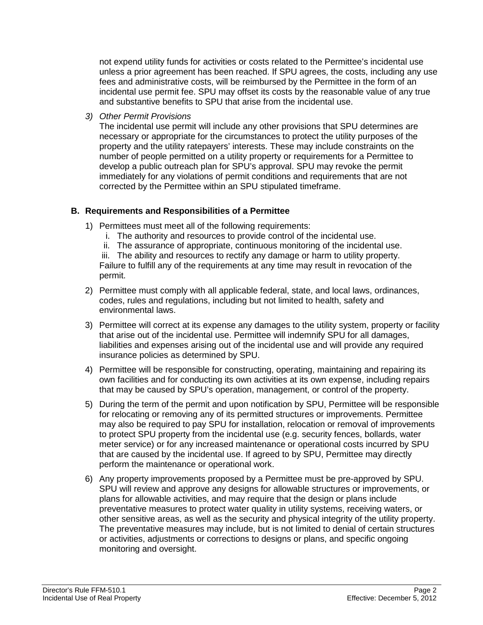not expend utility funds for activities or costs related to the Permittee's incidental use unless a prior agreement has been reached. If SPU agrees, the costs, including any use fees and administrative costs, will be reimbursed by the Permittee in the form of an incidental use permit fee. SPU may offset its costs by the reasonable value of any true and substantive benefits to SPU that arise from the incidental use.

*3) Other Permit Provisions*

The incidental use permit will include any other provisions that SPU determines are necessary or appropriate for the circumstances to protect the utility purposes of the property and the utility ratepayers' interests. These may include constraints on the number of people permitted on a utility property or requirements for a Permittee to develop a public outreach plan for SPU's approval. SPU may revoke the permit immediately for any violations of permit conditions and requirements that are not corrected by the Permittee within an SPU stipulated timeframe.

## **B. Requirements and Responsibilities of a Permittee**

- 1) Permittees must meet all of the following requirements:
	- i. The authority and resources to provide control of the incidental use.
	- ii. The assurance of appropriate, continuous monitoring of the incidental use.
	- iii. The ability and resources to rectify any damage or harm to utility property.

Failure to fulfill any of the requirements at any time may result in revocation of the permit.

- 2) Permittee must comply with all applicable federal, state, and local laws, ordinances, codes, rules and regulations, including but not limited to health, safety and environmental laws.
- 3) Permittee will correct at its expense any damages to the utility system, property or facility that arise out of the incidental use. Permittee will indemnify SPU for all damages, liabilities and expenses arising out of the incidental use and will provide any required insurance policies as determined by SPU.
- 4) Permittee will be responsible for constructing, operating, maintaining and repairing its own facilities and for conducting its own activities at its own expense, including repairs that may be caused by SPU's operation, management, or control of the property.
- 5) During the term of the permit and upon notification by SPU, Permittee will be responsible for relocating or removing any of its permitted structures or improvements. Permittee may also be required to pay SPU for installation, relocation or removal of improvements to protect SPU property from the incidental use (e.g. security fences, bollards, water meter service) or for any increased maintenance or operational costs incurred by SPU that are caused by the incidental use. If agreed to by SPU, Permittee may directly perform the maintenance or operational work.
- 6) Any property improvements proposed by a Permittee must be pre-approved by SPU. SPU will review and approve any designs for allowable structures or improvements, or plans for allowable activities, and may require that the design or plans include preventative measures to protect water quality in utility systems, receiving waters, or other sensitive areas, as well as the security and physical integrity of the utility property. The preventative measures may include, but is not limited to denial of certain structures or activities, adjustments or corrections to designs or plans, and specific ongoing monitoring and oversight.